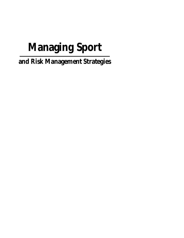# **Managing Sport**

**and Risk Management Strategies**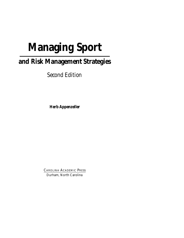## **Managing Sport**

## **and Risk Management Strategies**

*Second Edition*

**Herb Appenzeller**

CAROLINA ACADEMIC PRESS Durham, North Carolina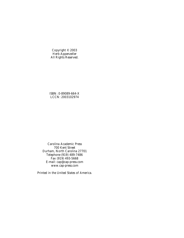Copyright © 2003 Herb Appenzeller All Rights Reserved.

ISBN: 0-89089-664-X LCCN: 2003102974

Carolina Academic Press 700 Kent Street Durham, North Carolina 27701 Telephone (919) 489-7486 Fax (919) 493-5668 E-mail: cap@cap-press.com www.cap-press.com

Printed in the United States of America.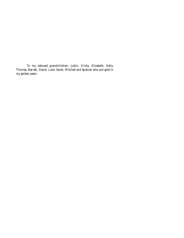To my beloved grandchildren, Justin, Kristy, Elizabeth, Kelly, Thomas, Barrett, David, Luke, Sarah, Mitchell and Spencer who put gold in my golden years.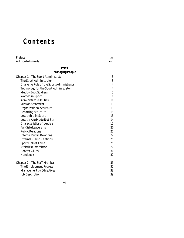## **Contents**

| Preface                                  | XV               |
|------------------------------------------|------------------|
| Acknowledgments                          | xvii             |
| Part I                                   |                  |
| <b>Managing People</b>                   |                  |
| Chapter 1. The Sport Administrator       | 3                |
| The Sport Administrator                  | 3                |
| Changing Role of the Sport Administrator | $\boldsymbol{4}$ |
| Technology for the Sport Administrator   | $\boldsymbol{4}$ |
| <b>Muddy Boot Soldiers</b>               | $\overline{5}$   |
| Women in Sport                           | $6\phantom{1}$   |
| <b>Administrative Duties</b>             | 10               |
| <b>Mission Statement</b>                 | 11               |
| <b>Organizational Structure</b>          | 11               |
| <b>Reporting Structure</b>               | 13               |
| Leadership in Sport                      | 13               |
| <b>Leaders Are Made Not Born</b>         | 14               |
| <b>Characteristics of Leaders</b>        | 15               |
| Fail-Safe Leadership                     | 20               |
| <b>Public Relations</b>                  | 21               |
| <b>Internal Public Relations</b>         | 22               |
| <b>External Public Relations</b>         | 25               |
| <b>Sport Hall of Fame</b>                | 25               |
| <b>Athletics Committee</b>               | 27               |
| <b>Booster Clubs</b>                     | 30               |
| Handbook                                 | 32               |
| <b>Chapter 2. The Staff Member</b>       | 35               |
| The Employment Process                   | 35               |
| <b>Management by Objectives</b>          | 38               |
| <b>Job Description</b>                   | 39               |

vii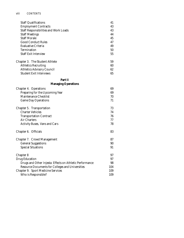| <b>Staff Qualifications</b>                              | 41  |
|----------------------------------------------------------|-----|
| <b>Employment Contracts</b>                              | 43  |
| <b>Staff Responsibilities and Work Loads</b>             | 43  |
| <b>Staff Meetings</b>                                    | 44  |
| <b>Staff Morale</b>                                      | 45  |
| <b>Good Conduct Rules</b>                                | 47  |
| <b>Evaluative Criteria</b>                               | 49  |
| Termination                                              | 50  |
| <b>Staff Exit Interview</b>                              | 55  |
| Chapter 3. The Student Athlete                           | 59  |
| <b>Athletics Recruiting</b>                              | 60  |
| <b>Athletics Advisory Council</b>                        | 62  |
| <b>Student Exit Interviews</b>                           | 65  |
| Part II                                                  |     |
| <b>Managing Operations</b>                               |     |
| Chapter 4. Operations                                    | 69  |
| Preparing for the Upcoming Year                          | 69  |
| Maintenance Checklist                                    | 70  |
| <b>Game Day Operations</b>                               | 71  |
| Chapter 5. Transportation                                | 73  |
| <b>Charter Vehicles</b>                                  | 74  |
| <b>Transportation Contract</b>                           | 76  |
| <b>Air Charters</b>                                      | 77  |
| <b>Activity Buses, Vans and Cars</b>                     | 78  |
| Chapter 6. Officials                                     | 83  |
| <b>Chapter 7. Crowd Management</b>                       | 87  |
| <b>General Suggestions</b>                               | 90  |
| <b>Special Situations</b>                                | 91  |
| <b>Chapter 8</b>                                         | 97  |
| <b>Drug Education</b>                                    | 97  |
| Drugs and Other Injesta: Effects on Athletic Performance | 98  |
| Resource Documents for Colleges and Universities         | 104 |
| <b>Chapter 9. Sport Medicine Services</b>                | 109 |
| Who is Responsible?                                      | 109 |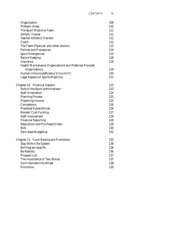| Organization                                            | 109 |
|---------------------------------------------------------|-----|
| <b>Problem Areas</b>                                    | 110 |
| The Sport Medicine Team                                 | 111 |
| <b>Athletic Trainer</b>                                 | 111 |
| <b>Teacher Athletics Trainers</b>                       | 112 |
| Coach                                                   | 112 |
| The Team Physician and other doctors                    | 113 |
| <b>Policies and Procedures</b>                          | 114 |
| <b>Sport Emergencies</b>                                | 115 |
| <b>Record Keeping</b>                                   | 118 |
| Insurance                                               | 118 |
| Health Maintenance Organizations and Preferred Provider |     |
| Organizations                                           | 119 |
| Human Immunodeficiency Virus (HIV)                      | 120 |
| <b>Legal Aspects of Sports Medicine</b>                 | 121 |
| <b>Chapter 10. Financial Aspects</b>                    | 123 |
| Role of the Sport Administrator                         | 123 |
| <b>Staff Orientation</b>                                | 124 |
| <b>Planning Process</b>                                 | 125 |
| <b>Projecting Income</b>                                | 125 |
| Concessions                                             | 126 |
| <b>Projected Expenditures</b>                           | 126 |
| <b>Booster Club Funding</b>                             | 127 |
| <b>Staff Involvement</b>                                | 128 |
| <b>Financial Reporting</b>                              | 129 |
| <b>Requisition and Purchase Orders</b>                  | 129 |
| Bids                                                    | 130 |
| Zero-Base Budgeting                                     | 132 |
| Chapter 11. Fund-Raising and Promotion                  | 135 |
| <b>Stay Within the System</b>                           | 136 |
| Be Program Specific                                     | 136 |
| <b>Be Realistic</b>                                     | 136 |
| <b>Prospect List</b>                                    | 137 |
| The Importance of Two Words                             | 137 |
| Don't Reinvent the Wheel                                | 138 |
| Promotion                                               | 139 |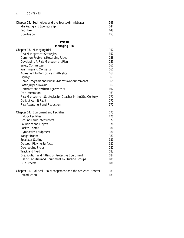| Chapter 12. Technology and the Sport Administrator | 143 |
|----------------------------------------------------|-----|
| Marketing and Sponsorship                          | 144 |
| <b>Facilities</b>                                  | 148 |
| Conclusion                                         | 153 |

### **Part III**

#### **Managing Risk**

| Chapter 13. Managing Risk                                        | 157 |
|------------------------------------------------------------------|-----|
| <b>Risk Management Strategies</b>                                | 157 |
| <b>Common Problems Regarding Risks</b>                           | 158 |
| Developing A Risk Management Plan                                | 159 |
| <b>Safety Committee</b>                                          | 160 |
| Warnings and Consents                                            | 161 |
| <b>Agreement to Participate in Athletics</b>                     | 162 |
| Signage                                                          | 163 |
| <b>Game Programs and Public Address Announcements</b>            | 165 |
| Postinjury Follow-up                                             | 167 |
| <b>Contracts and Written Agreements</b>                          | 167 |
| Documentation                                                    | 169 |
| Risk Management Strategies for Coaches in the 21st Century       | 171 |
| Do Not Admit Fault                                               | 172 |
| <b>Risk Assessment and Reduction</b>                             | 172 |
| <b>Chapter 14. Equipment and Facilities</b>                      | 175 |
| <b>Indoor Facilities</b>                                         | 176 |
| <b>Ground Fault Interrupters</b>                                 | 177 |
| Laundries and Dryers                                             | 178 |
| <b>Locker Rooms</b>                                              | 180 |
| <b>Gymnastics Equipment</b>                                      | 180 |
| <b>Weight Room</b>                                               | 180 |
| <b>Spectator Seating</b>                                         | 181 |
| <b>Outdoor Playing Surfaces</b>                                  | 182 |
| <b>Overlapping Fields</b>                                        | 182 |
| <b>Track and Field</b>                                           | 183 |
| Distribution and Fitting of Protective Equipment                 | 184 |
| Use of Facilities and Equipment by Outside Groups                | 185 |
| <b>Due Process</b>                                               | 186 |
| Chapter 15. Political Risk Management and the Athletics Director | 189 |
| Introduction                                                     | 189 |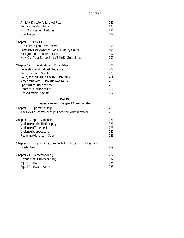| <b>Athletic Director's Survival Rate</b>                        | 189 |
|-----------------------------------------------------------------|-----|
| <b>Political Relationships</b>                                  | 190 |
| <b>Risk Management Failures</b>                                 | 191 |
| Conclusion                                                      | 192 |
| Chapter 16. Title IX                                            | 195 |
| Girls Playing on Boys' Teams                                    | 196 |
| Female Kicker Awarded Two Million by Court                      | 196 |
| <b>Background of Three Decades</b>                              | 197 |
| How Can Your School Meet Title IX Guidelines                    | 199 |
| Chapter 17. Individuals with Disabilities                       | 201 |
| <b>Legislation and Judicial Decisions</b>                       | 202 |
| Participation in Sport                                          | 203 |
| Policy for Individuals With Disabilities                        | 204 |
| Americans with Disabilities Act (ADA)                           | 205 |
| <b>Sport Rules Discriminate</b>                                 | 206 |
| <b>Coaches In Wheelchairs</b>                                   | 206 |
| <b>Achievements in Sport</b>                                    | 207 |
| Part IV                                                         |     |
| <b>Issues Involving the Sport Administrator</b>                 |     |
| Chapter 18. Sportsmanship                                       | 211 |
| The Key To Sportsmanship: The Sport Administrator               | 219 |
| Chapter 19. Sport Violence                                      | 221 |
| Violence on the field of play                                   | 221 |
| Violence off the field                                          | 223 |
| Violence by spectators                                          | 225 |
| <b>Reducing Violence in Sport</b>                               | 226 |
| Chapter 20. Eligibility Requirements for Students with Learning |     |
| <b>Disabilities</b>                                             | 229 |
| Chapter 21. Homeschooling                                       | 237 |
| <b>Reasons for Homeschooling</b>                                | 237 |
| <b>Equal Access</b>                                             | 238 |
| <b>Equal Access and Athletics</b>                               | 238 |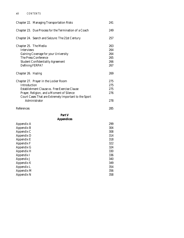| <b>Chapter 22. Managing Transportation Risks</b>       | 241 |
|--------------------------------------------------------|-----|
| Chapter 23. Due Process for the Termination of a Coach | 249 |
| Chapter 24. Search and Seizure: The 21st Century       | 257 |
| Chapter 25. The Media                                  | 263 |
| <b>Interviews</b>                                      | 264 |
| Gaining Coverage for your University                   | 264 |
| The Press Conference                                   | 265 |
| <b>Student Confidentiality Agreement</b>               | 266 |
| Defining FERPA?                                        | 267 |
| Chapter 26. Hazing                                     | 269 |
| Chapter 27. Prayer in the Locker Room                  | 275 |
| Introduction                                           | 275 |
| Establishment Clause vs. Free Exercise Clause          | 275 |
| Prayer, Religion, and a Moment of Silence              | 276 |
| Court Cases That are Extremely Important to the Sport  |     |
| Administrator                                          | 278 |
| References                                             | 285 |
| Part V                                                 |     |
| <b>Appendices</b>                                      |     |
| Appendix A                                             | 299 |
| <b>Appendix B</b>                                      | 304 |
| Appendix C                                             | 308 |
| Appendix D                                             | 314 |
| Appendix E                                             | 318 |
| Appendix F                                             | 322 |
| Appendix G                                             | 324 |
| Appendix H                                             | 330 |
| Appendix I                                             | 336 |
| Appendix J                                             | 340 |
| Appendix K                                             | 349 |
| Appendix L                                             | 354 |
| Appendix M                                             | 356 |
| Appendix N                                             | 358 |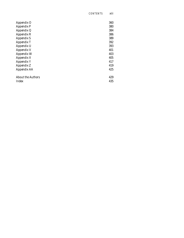| Appendix O               | 360 |
|--------------------------|-----|
| <b>Appendix P</b>        | 380 |
| Appendix Q               | 384 |
| Appendix R               | 386 |
| <b>Appendix S</b>        | 389 |
| Appendix T               | 392 |
| Appendix U               | 393 |
| <b>Appendix V</b>        | 401 |
| Appendix W               | 403 |
| Appendix X               | 405 |
| <b>Appendix Y</b>        | 417 |
| Appendix Z               | 419 |
| Appendix AA              | 425 |
| <b>About the Authors</b> | 429 |
| Index                    | 435 |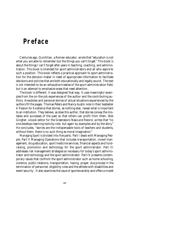### **Preface**

Centuries ago, Quintilian, a Roman educator, wrote that "education is not what you are able to remember but the things you can't forget." This book is about the things I can't forget after years in teaching, coaching, and administration. This book is intended for sport administrators and all who aspire to such a position. This book reflects a practical approach to sport administration for the decision-maker in need of appropriate information to facilitate decisions and policies that are both educationally and legally sound. The text is not intended to be an exhaustive treatise of the sport administration field, but is an attempt to emphasize areas that need attention.

The book is different. It was designed that way. It uses meaningful examples from the on-the-job experiences of the author and the contributing authors. Anecdotes and personal stories of actual situations experienced by the authors fill the pages. Thomas Peters and Nancy Austin note in their bestseller *A Passion for Excellence* that stories, as nothing else, reveal what is important to an institution. They believe, as does this author, that stories convey the mistakes and successes of the past so that others can profit from them. Bob Gingher, a book editor for the Greensboro *News and Record*, writes that "no one develops learning tools by rote, but again by examples and by the story." He concludes, "stories are the indispensable tools of teachers and students, without them, there is no such thing as moral imagination."

*Managing Sport* is divided into five parts. Part I deals with Managing People, Part II Managing Operations that includes transportation, crowd management, drug education, sport medicine services, financial aspects and fundraising, promotion and technology for the sport administrator. Part III addresses risk management strategies so necessary for today's sport administrator and technology and the sport administrator. Part IV presents contemporary issues that confront the sport administrator such as home schooling, violence, public relations, transportation, hazing, prayer, due process in the termination of personnel, eligibility rules and the athlete with disabilities and event security. It also examines the issue of sportsmanship and offers a model

xv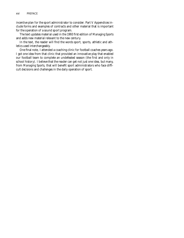incentive plan for the sport administrator to consider. Part V Appendices include forms and examples of contracts and other material that is important for the operation of a sound sport program.

The text updates material used in the 1993 first edition of *Managing Sports* and adds new material relevant to the new century.

In the text, the reader will find the words sport, sports, athletic and athletics used interchangeably.

One final note, I attended a coaching clinic for football coaches years ago. I got one idea from that clinic that provided an innovative play that enabled our football team to complete an undefeated season (the first and only in school history). I believe that the reader can get not just one idea, but many, from *Managing Sports*, that will benefit sport administrators who face difficult decisions and challenges in the daily operation of sport.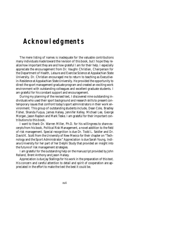## **Acknowledgments**

The mere listing of names is inadequate for the valuable contributions many individuals made toward the revision of this book, but I hope they realize how important they are and how grateful I am for their help. I especially appreciate the encouragement from Dr. Vaughn Christian, Chairperson for the Department of Health, Leisure and Exercise Science at Appalachian State University. Dr. Christian encouraged me to return to teaching as Executivein-Residence at Appalachian State University. He provided the opportunity to direct the sport management graduate program and created an exciting work environment with outstanding colleagues and excellent graduate students. I am grateful for his constant support and encouragement.

During my planning of the revised text, I discovered nine outstanding individuals who used their sport background and research skills to present contemporary issues that confront today's sport administrators in their work environment. This group of outstanding students include, Dean Cole, Bradley Fisher, Shanda Fuqua, James Halsey, Jennifer Kelley, Michael Lee, George Morgan, Jason Raybon and Mark Teske. I am grateful for their important contributions to this book.

I want to thank Dr. Warren Miller, Ph.D. for his willingness to share excerpts from his book, Political Risk Management, a novel addition to the field of risk management. Special recognition is due Dr. Todd L. Seidler and Dr. David K. Scott from the University of New Mexico for their chapter on "Technology and the Sport Administrator." Appreciation is due Sarah Young, Indiana University for her part of her Delphi Study that provided an insight into the future of risk management strategies.

I am grateful for the outstanding help on the manuscript provided by John Reiland, Brent Anthony and Jason Halsey.

Appreciation is due Jay Stallings for his work in the preparation of this text. His concern and careful attention to detail and spirit of cooperation are appreciated in the effort to make the text the best it could be.

xvii